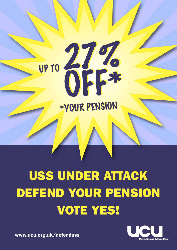**USS UNDER ATTACK DEFEND YOUR PENSION VOTE YES!**

27%

27%

OFF\*

OFF\*

\*YOUR PENSION \*YOUR PENSION



**www.ucu.org.uk/defenduss**

UP TO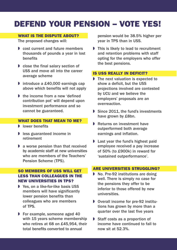# **DEFEND YOUR PENSION – VOTE YES!**

# **WHAT IS THE DISPUTE ABOUT?**

The proposed changes will:

- $\bullet$  cost current and future members thousands of pounds a year in lost benefits
- $\triangleright$  close the final salary section of USS and move all into the career average scheme
- $\triangleright$  introduce a £40,000 earnings cap above which benefits will not apply
- $\bullet$  the income from a new 'defined contribution pot' will depend upon investment performance and so cannot be guaranteed.

# **WHAT DOES THAT MEAN TO ME?**

- $\blacksquare$  lower benefits
- $\blacktriangleright$  less guaranteed income in retirement
- $\blacktriangleright$  a worse pension than that received by academic staff at new universities who are members of the Teachers' Pension Scheme (TPS).

# **SO MEMBERS OF USS WILL GET LESS THAN COLLEAGUES IN THE NEW UNIVERSITIES IN TPS?**

- $\blacktriangleright$  Yes, on a like-for-like basis USS members will have significantly lower pension benefits than colleagues who are members of TPS.
- $\triangleright$  For example, someone aged 40 with 15 years scheme membership who retires at 68 on £45,954, their total benefits converted to annual

pension would be 38.5% higher per year in TPS than in USS.

 $\triangleright$  This is likely to lead to recruitment and retention problems with staff opting for the employers who offer the best pensions.

# **IS USS REALLY IN DEFICIT?**

- $\triangleright$  The next valuation is expected to show a deficit, but the USS projections involved are contested by UCU and we believe the employers' proposals are an overreaction.
- Since 2011, the fund's investments have grown by £8bn.
- $\blacktriangleright$  Returns on investment have outperformed both average earnings and inflation.
- $\blacktriangleright$  Last year the fund's highest paid employee received a pay increase of 50% (to £900k) in reward for 'sustained outperformance'.

# **ARE UNIVERSITIES STRUGGLING?**

- $\triangleright$  No. Pre-92 institutions are doing well. There is simply no case for the pensions they offer to be inferior to those offered by new universities.
- D Overall income for pre-92 institutions has grown by more than a quarter over the last five years
- $\triangleright$  Staff costs as a proportion of income have continued to fall to now sit at 52.3%.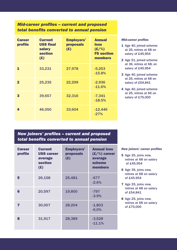# *Mid-career profiles – current and proposed total benefits converted to annual pension*

| <b>Career</b><br>profile | <b>Current</b><br><b>USS final</b><br>salary<br><b>section</b><br>(E) | <b>Employers'</b><br><b>proposals</b><br>(E) | <b>Annual</b><br><b>loss</b><br>$(E/\%)$<br><b>FS</b> section<br>members |
|--------------------------|-----------------------------------------------------------------------|----------------------------------------------|--------------------------------------------------------------------------|
| 1                        | 33,231                                                                | 27,978                                       | $-5,253$<br>$-15.8%$                                                     |
| $\overline{2}$           | 25,235                                                                | 22,299                                       | $-2,936$<br>$-11.6%$                                                     |
| 3                        | 39,657                                                                | 32,316                                       | $-7,341$<br>$-18.5%$                                                     |
| 4                        | 46,050                                                                | 33,604                                       | $-12,446$<br>$-27%$                                                      |

#### *Mid-career profiles*

- **1** Age 40, joined scheme at 25, retires at 68 on salary of £45,954
- **2** Age 51, joined scheme at 36, retires at 68, on salary of £45,954
- **3** Age 40, joined scheme at 25, retires at 68 on salary of £54,841
- **4** Age 40, joined scheme at 25, retires at 66 on salary of £75,000

# *New joiners' profiles – current and proposed total benefits converted to annual pension*

| <b>Career</b><br>profile | <b>Current</b><br><b>USS career</b><br>average<br><b>section</b><br>(E) | <b>Employers'</b><br><b>proposals</b><br>(E) | <b>Annual loss</b><br>$(E/\%)$ career<br>average<br>scheme<br>members |
|--------------------------|-------------------------------------------------------------------------|----------------------------------------------|-----------------------------------------------------------------------|
| 5                        | 26,158                                                                  | 25,481                                       | $-677$<br>$-2.6%$                                                     |
| 6                        | 20,597                                                                  | 19,800                                       | $-797$<br>$-3.9%$                                                     |
| 7                        | 30,007                                                                  | 28,204                                       | $-1,803$<br>$-6.0%$                                                   |
| 8                        | 31,917                                                                  | 28,389                                       | $-3,528$<br>$-11.1%$                                                  |

#### *New joiners' career profiles*

- **5** Age 25, joins now, retires at 68 on salary of £45,954
- **6** Age 36, joins now, retires at 68 on salary of £45,954
- **7** Age 25, joins now, retires at 68 on salary of £54,841
- **8** Age 25, joins now, retires at 68 on salary of £75,000